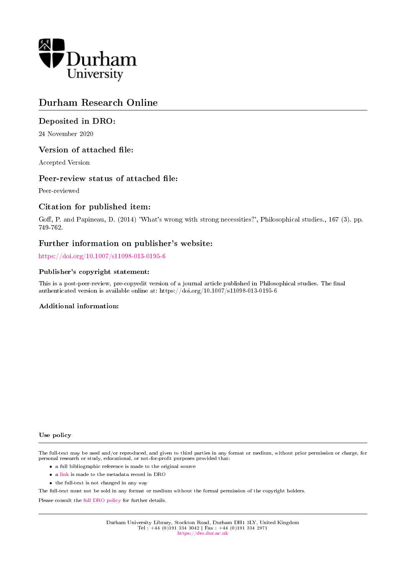

# Durham Research Online

# Deposited in DRO:

24 November 2020

# Version of attached file:

Accepted Version

## Peer-review status of attached file:

Peer-reviewed

# Citation for published item:

Goff, P. and Papineau, D. (2014) 'What's wrong with strong necessities?', Philosophical studies., 167 (3). pp. 749-762.

# Further information on publisher's website:

<https://doi.org/10.1007/s11098-013-0195-6>

#### Publisher's copyright statement:

This is a post-peer-review, pre-copyedit version of a journal article published in Philosophical studies. The final authenticated version is available online at: https://doi.org/10.1007/s11098-013-0195-6

#### Additional information:

Use policy

The full-text may be used and/or reproduced, and given to third parties in any format or medium, without prior permission or charge, for personal research or study, educational, or not-for-profit purposes provided that:

- a full bibliographic reference is made to the original source
- a [link](http://dro.dur.ac.uk/32235/) is made to the metadata record in DRO
- the full-text is not changed in any way

The full-text must not be sold in any format or medium without the formal permission of the copyright holders.

Please consult the [full DRO policy](https://dro.dur.ac.uk/policies/usepolicy.pdf) for further details.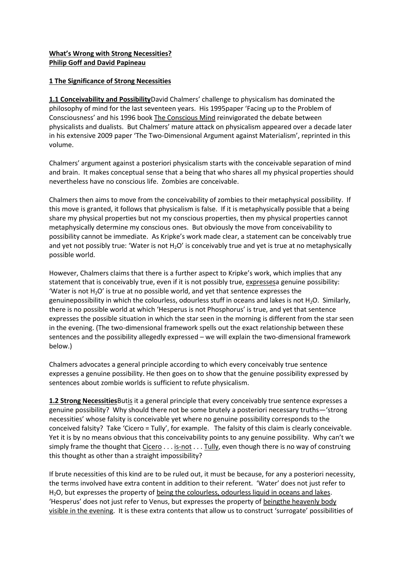# **What's Wrong with Strong Necessities? Philip Goff and David Papineau**

## **1 The Significance of Strong Necessities**

**1.1 Conceivability and Possibility**David Chalmers' challenge to physicalism has dominated the philosophy of mind for the last seventeen years. His 1995paper 'Facing up to the Problem of Consciousness' and his 1996 book The Conscious Mind reinvigorated the debate between physicalists and dualists. But Chalmers' mature attack on physicalism appeared over a decade later in his extensive 2009 paper 'The Two-Dimensional Argument against Materialism', reprinted in this volume.

Chalmers' argument against a posteriori physicalism starts with the conceivable separation of mind and brain. It makes conceptual sense that a being that who shares all my physical properties should nevertheless have no conscious life. Zombies are conceivable.

Chalmers then aims to move from the conceivability of zombies to their metaphysical possibility. If this move is granted, it follows that physicalism is false. If it is metaphysically possible that a being share my physical properties but not my conscious properties, then my physical properties cannot metaphysically determine my conscious ones. But obviously the move from conceivability to possibility cannot be immediate. As Kripke's work made clear, a statement can be conceivably true and yet not possibly true: 'Water is not  $H_2O'$  is conceivably true and yet is true at no metaphysically possible world.

However, Chalmers claims that there is a further aspect to Kripke's work, which implies that any statement that is conceivably true, even if it is not possibly true, expressesa genuine possibility: 'Water is not  $H_2O'$  is true at no possible world, and yet that sentence expresses the genuinepossibility in which the colourless, odourless stuff in oceans and lakes is not  $H_2O$ . Similarly, there is no possible world at which 'Hesperus is not Phosphorus' is true, and yet that sentence expresses the possible situation in which the star seen in the morning is different from the star seen in the evening. (The two-dimensional framework spells out the exact relationship between these sentences and the possibility allegedly expressed – we will explain the two-dimensional framework below.)

Chalmers advocates a general principle according to which every conceivably true sentence expresses a genuine possibility. He then goes on to show that the genuine possibility expressed by sentences about zombie worlds is sufficient to refute physicalism.

**1.2 Strong Necessities**Butis it a general principle that every conceivably true sentence expresses a genuine possibility? Why should there not be some brutely a posteriori necessary truths—'strong necessities' whose falsity is conceivable yet where no genuine possibility corresponds to the conceived falsity? Take 'Cicero = Tully', for example. The falsity of this claim is clearly conceivable. Yet it is by no means obvious that this conceivability points to any genuine possibility. Why can't we simply frame the thought that Cicero . . . is-not . . . Tully, even though there is no way of construing this thought as other than a straight impossibility?

If brute necessities of this kind are to be ruled out, it must be because, for any a posteriori necessity, the terms involved have extra content in addition to their referent. 'Water' does not just refer to H<sub>2</sub>O, but expresses the property of being the colourless, odourless liquid in oceans and lakes. 'Hesperus' does not just refer to Venus, but expresses the property of beingthe heavenly body visible in the evening. It is these extra contents that allow us to construct 'surrogate' possibilities of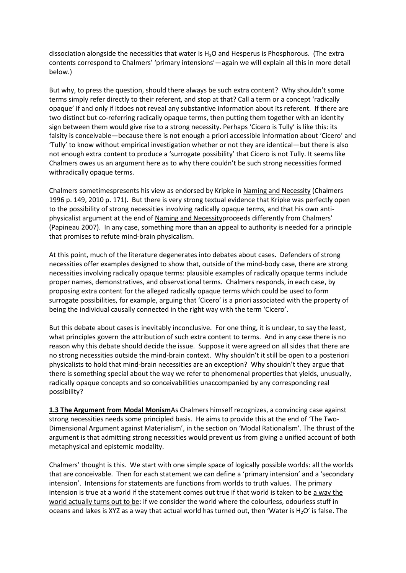dissociation alongside the necessities that water is  $H_2O$  and Hesperus is Phosphorous. (The extra contents correspond to Chalmers' 'primary intensions'—again we will explain all this in more detail below.)

But why, to press the question, should there always be such extra content? Why shouldn't some terms simply refer directly to their referent, and stop at that? Call a term or a concept 'radically opaque' if and only if itdoes not reveal any substantive information about its referent. If there are two distinct but co-referring radically opaque terms, then putting them together with an identity sign between them would give rise to a strong necessity. Perhaps 'Cicero is Tully' is like this: its falsity is conceivable—because there is not enough a priori accessible information about 'Cicero' and 'Tully' to know without empirical investigation whether or not they are identical—but there is also not enough extra content to produce a 'surrogate possibility' that Cicero is not Tully. It seems like Chalmers owes us an argument here as to why there couldn't be such strong necessities formed withradically opaque terms.

Chalmers sometimespresents his view as endorsed by Kripke in Naming and Necessity (Chalmers 1996 p. 149, 2010 p. 171). But there is very strong textual evidence that Kripke was perfectly open to the possibility of strong necessities involving radically opaque terms, and that his own antiphysicalist argument at the end of Naming and Necessityproceeds differently from Chalmers' (Papineau 2007). In any case, something more than an appeal to authority is needed for a principle that promises to refute mind-brain physicalism.

At this point, much of the literature degenerates into debates about cases. Defenders of strong necessities offer examples designed to show that, outside of the mind-body case, there are strong necessities involving radically opaque terms: plausible examples of radically opaque terms include proper names, demonstratives, and observational terms. Chalmers responds, in each case, by proposing extra content for the alleged radically opaque terms which could be used to form surrogate possibilities, for example, arguing that 'Cicero' is a priori associated with the property of being the individual causally connected in the right way with the term 'Cicero'.

But this debate about cases is inevitably inconclusive. For one thing, it is unclear, to say the least, what principles govern the attribution of such extra content to terms. And in any case there is no reason why this debate should decide the issue. Suppose it were agreed on all sides that there are no strong necessities outside the mind-brain context. Why shouldn't it still be open to a posteriori physicalists to hold that mind-brain necessities are an exception? Why shouldn't they argue that there is something special about the way we refer to phenomenal properties that yields, unusually, radically opaque concepts and so conceivabilities unaccompanied by any corresponding real possibility?

**1.3 The Argument from Modal Monism**As Chalmers himself recognizes, a convincing case against strong necessities needs some principled basis. He aims to provide this at the end of 'The Two-Dimensional Argument against Materialism', in the section on 'Modal Rationalism'. The thrust of the argument is that admitting strong necessities would prevent us from giving a unified account of both metaphysical and epistemic modality.

Chalmers' thought is this. We start with one simple space of logically possible worlds: all the worlds that are conceivable. Then for each statement we can define a 'primary intension' and a 'secondary intension'. Intensions for statements are functions from worlds to truth values. The primary intension is true at a world if the statement comes out true if that world is taken to be a way the world actually turns out to be: if we consider the world where the colourless, odourless stuff in oceans and lakes is XYZ as a way that actual world has turned out, then 'Water is  $H_2O'$  is false. The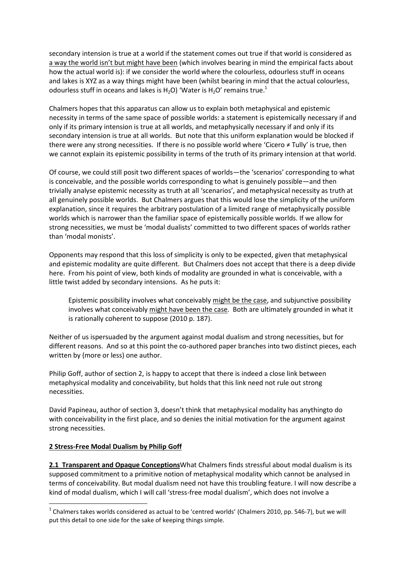secondary intension is true at a world if the statement comes out true if that world is considered as a way the world isn't but might have been (which involves bearing in mind the empirical facts about how the actual world is): if we consider the world where the colourless, odourless stuff in oceans and lakes is XYZ as a way things might have been (whilst bearing in mind that the actual colourless, odourless stuff in oceans and lakes is  $H_2O$ ) 'Water is  $H_2O'$  remains true.<sup>1</sup>

Chalmers hopes that this apparatus can allow us to explain both metaphysical and epistemic necessity in terms of the same space of possible worlds: a statement is epistemically necessary if and only if its primary intension is true at all worlds, and metaphysically necessary if and only if its secondary intension is true at all worlds. But note that this uniform explanation would be blocked if there were any strong necessities. If there is no possible world where 'Cicero ≠ Tully' is true, then we cannot explain its epistemic possibility in terms of the truth of its primary intension at that world.

Of course, we could still posit two different spaces of worlds—the 'scenarios' corresponding to what is conceivable, and the possible worlds corresponding to what is genuinely possible—and then trivially analyse epistemic necessity as truth at all 'scenarios', and metaphysical necessity as truth at all genuinely possible worlds. But Chalmers argues that this would lose the simplicity of the uniform explanation, since it requires the arbitrary postulation of a limited range of metaphysically possible worlds which is narrower than the familiar space of epistemically possible worlds. If we allow for strong necessities, we must be 'modal dualists' committed to two different spaces of worlds rather than 'modal monists'.

Opponents may respond that this loss of simplicity is only to be expected, given that metaphysical and epistemic modality are quite different. But Chalmers does not accept that there is a deep divide here. From his point of view, both kinds of modality are grounded in what is conceivable, with a little twist added by secondary intensions. As he puts it:

Epistemic possibility involves what conceivably might be the case, and subjunctive possibility involves what conceivably might have been the case. Both are ultimately grounded in what it is rationally coherent to suppose (2010 p. 187).

Neither of us ispersuaded by the argument against modal dualism and strong necessities, but for different reasons. And so at this point the co-authored paper branches into two distinct pieces, each written by (more or less) one author.

Philip Goff, author of section 2, is happy to accept that there is indeed a close link between metaphysical modality and conceivability, but holds that this link need not rule out strong necessities.

David Papineau, author of section 3, doesn't think that metaphysical modality has anythingto do with conceivability in the first place, and so denies the initial motivation for the argument against strong necessities.

# **2 Stress-Free Modal Dualism by Philip Goff**

1

2.1 Transparent and Opaque Conceptions What Chalmers finds stressful about modal dualism is its supposed commitment to a primitive notion of metaphysical modality which cannot be analysed in terms of conceivability. But modal dualism need not have this troubling feature. I will now describe a kind of modal dualism, which I will call 'stress-free modal dualism', which does not involve a

 $^1$  Chalmers takes worlds considered as actual to be 'centred worlds' (Chalmers 2010, pp. 546-7), but we will put this detail to one side for the sake of keeping things simple.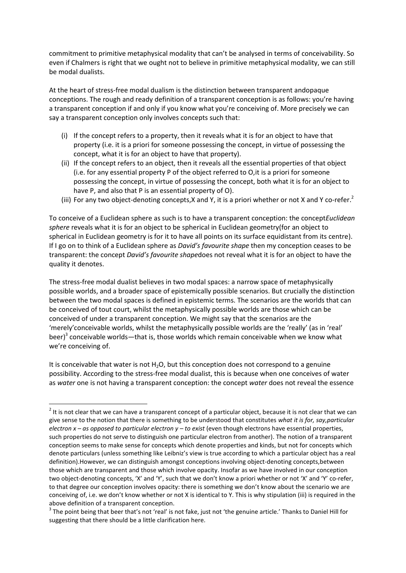commitment to primitive metaphysical modality that can't be analysed in terms of conceivability. So even if Chalmers is right that we ought not to believe in primitive metaphysical modality, we can still be modal dualists.

At the heart of stress-free modal dualism is the distinction between transparent andopaque conceptions. The rough and ready definition of a transparent conception is as follows: you're having a transparent conception if and only if you know what you're conceiving of. More precisely we can say a transparent conception only involves concepts such that:

- (i) If the concept refers to a property, then it reveals what it is for an object to have that property (i.e. it is a priori for someone possessing the concept, in virtue of possessing the concept, what it is for an object to have that property).
- (ii) If the concept refers to an object, then it reveals all the essential properties of that object (i.e. for any essential property P of the object referred to O,it is a priori for someone possessing the concept, in virtue of possessing the concept, both what it is for an object to have P, and also that P is an essential property of O).
- (iii) For any two object-denoting concepts, X and Y, it is a priori whether or not X and Y co-refer.<sup>2</sup>

To conceive of a Euclidean sphere as such is to have a transparent conception: the concept*Euclidean sphere* reveals what it is for an object to be spherical in Euclidean geometry(for an object to spherical in Euclidean geometry is for it to have all points on its surface equidistant from its centre). If I go on to think of a Euclidean sphere as *David's favourite shape* then my conception ceases to be transparent: the concept *David's favourite shape*does not reveal what it is for an object to have the quality it denotes.

The stress-free modal dualist believes in two modal spaces: a narrow space of metaphysically possible worlds, and a broader space of epistemically possible scenarios. But crucially the distinction between the two modal spaces is defined in epistemic terms. The scenarios are the worlds that can be conceived of tout court, whilst the metaphysically possible worlds are those which can be conceived of under a transparent conception. We might say that the scenarios are the 'merely'conceivable worlds, whilst the metaphysically possible worlds are the 'really' (as in 'real' beer)<sup>3</sup> conceivable worlds—that is, those worlds which remain conceivable when we know what we're conceiving of.

It is conceivable that water is not  $H_2O$ , but this conception does not correspond to a genuine possibility. According to the stress-free modal dualist, this is because when one conceives of water as *water* one is not having a transparent conception: the concept *water* does not reveal the essence

 $\overline{a}$ 

 $2$  It is not clear that we can have a transparent concept of a particular object, because it is not clear that we can give sense to the notion that there is something to be understood that constitutes *what it is for, say,particular electron x – as opposed to particular electron y – to exist* (even though electrons have essential properties, such properties do not serve to distinguish one particular electron from another). The notion of a transparent conception seems to make sense for concepts which denote properties and kinds, but not for concepts which denote particulars (unless something like Leibniz's view is true according to which a particular object has a real definition).However, we can distinguish amongst conceptions involving object-denoting concepts,between those which are transparent and those which involve opacity. Insofar as we have involved in our conception two object-denoting concepts, 'X' and 'Y', such that we don't know a priori whether or not 'X' and 'Y' co-refer, to that degree our conception involves opacity: there is something we don't know about the scenario we are conceiving of, i.e. we don't know whether or not X is identical to Y. This is why stipulation (iii) is required in the above definition of a transparent conception.

 $3$  The point being that beer that's not 'real' is not fake, just not 'the genuine article.' Thanks to Daniel Hill for suggesting that there should be a little clarification here.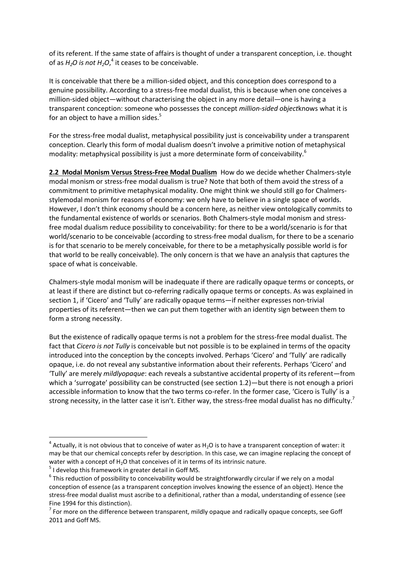of its referent. If the same state of affairs is thought of under a transparent conception, i.e. thought of as  $H_2O$  is not  $H_2O$ ,<sup>4</sup> it ceases to be conceivable.

It is conceivable that there be a million-sided object, and this conception does correspond to a genuine possibility. According to a stress-free modal dualist, this is because when one conceives a million-sided object—without characterising the object in any more detail—one is having a transparent conception: someone who possesses the concept *million-sided object*knows what it is for an object to have a million sides.<sup>5</sup>

For the stress-free modal dualist, metaphysical possibility just is conceivability under a transparent conception. Clearly this form of modal dualism doesn't involve a primitive notion of metaphysical modality: metaphysical possibility is just a more determinate form of conceivability.<sup>6</sup>

**2.2 Modal Monism Versus Stress-Free Modal Dualism** How do we decide whether Chalmers-style modal monism or stress-free modal dualism is true? Note that both of them avoid the stress of a commitment to primitive metaphysical modality. One might think we should still go for Chalmersstylemodal monism for reasons of economy: we only have to believe in a single space of worlds. However, I don't think economy should be a concern here, as neither view ontologically commits to the fundamental existence of worlds or scenarios. Both Chalmers-style modal monism and stressfree modal dualism reduce possibility to conceivability: for there to be a world/scenario is for that world/scenario to be conceivable (according to stress-free modal dualism, for there to be a scenario is for that scenario to be merely conceivable, for there to be a metaphysically possible world is for that world to be really conceivable). The only concern is that we have an analysis that captures the space of what is conceivable.

Chalmers-style modal monism will be inadequate if there are radically opaque terms or concepts, or at least if there are distinct but co-referring radically opaque terms or concepts. As was explained in section 1, if 'Cicero' and 'Tully' are radically opaque terms—if neither expresses non-trivial properties of its referent—then we can put them together with an identity sign between them to form a strong necessity.

But the existence of radically opaque terms is not a problem for the stress-free modal dualist. The fact that *Cicero is not Tully* is conceivable but not possible is to be explained in terms of the opacity introduced into the conception by the concepts involved. Perhaps 'Cicero' and 'Tully' are radically opaque, i.e. do not reveal any substantive information about their referents. Perhaps 'Cicero' and 'Tully' are merely *mildlyopaque*: each reveals a substantive accidental property of its referent—from which a 'surrogate' possibility can be constructed (see section 1.2)—but there is not enough a priori accessible information to know that the two terms co-refer. In the former case, 'Cicero is Tully' is a strong necessity, in the latter case it isn't. Either way, the stress-free modal dualist has no difficulty.<sup>7</sup>

**.** 

<sup>&</sup>lt;sup>4</sup> Actually, it is not obvious that to conceive of water as H<sub>2</sub>O is to have a transparent conception of water: it may be that our chemical concepts refer by description. In this case, we can imagine replacing the concept of water with a concept of  $H_2O$  that conceives of it in terms of its intrinsic nature.

 $<sup>5</sup>$  I develop this framework in greater detail in Goff MS.</sup>

 $^6$  This reduction of possibility to conceivability would be straightforwardly circular if we rely on a modal conception of essence (as a transparent conception involves knowing the essence of an object). Hence the stress-free modal dualist must ascribe to a definitional, rather than a modal, understanding of essence (see Fine 1994 for this distinction).

 $<sup>7</sup>$  For more on the difference between transparent, mildly opaque and radically opaque concepts, see Goff</sup> 2011 and Goff MS.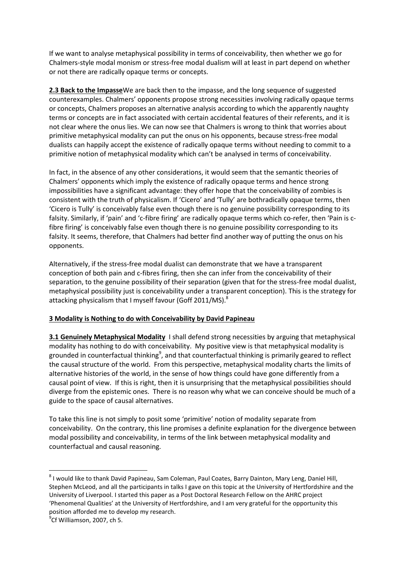If we want to analyse metaphysical possibility in terms of conceivability, then whether we go for Chalmers-style modal monism or stress-free modal dualism will at least in part depend on whether or not there are radically opaque terms or concepts.

**2.3 Back to the Impasse**We are back then to the impasse, and the long sequence of suggested counterexamples. Chalmers' opponents propose strong necessities involving radically opaque terms or concepts, Chalmers proposes an alternative analysis according to which the apparently naughty terms or concepts are in fact associated with certain accidental features of their referents, and it is not clear where the onus lies. We can now see that Chalmers is wrong to think that worries about primitive metaphysical modality can put the onus on his opponents, because stress-free modal dualists can happily accept the existence of radically opaque terms without needing to commit to a primitive notion of metaphysical modality which can't be analysed in terms of conceivability.

In fact, in the absence of any other considerations, it would seem that the semantic theories of Chalmers' opponents which imply the existence of radically opaque terms and hence strong impossibilities have a significant advantage: they offer hope that the conceivability of zombies is consistent with the truth of physicalism. If 'Cicero' and 'Tully' are bothradically opaque terms, then 'Cicero is Tully' is conceivably false even though there is no genuine possibility corresponding to its falsity. Similarly, if 'pain' and 'c-fibre firing' are radically opaque terms which co-refer, then 'Pain is cfibre firing' is conceivably false even though there is no genuine possibility corresponding to its falsity. It seems, therefore, that Chalmers had better find another way of putting the onus on his opponents.

Alternatively, if the stress-free modal dualist can demonstrate that we have a transparent conception of both pain and c-fibres firing, then she can infer from the conceivability of their separation, to the genuine possibility of their separation (given that for the stress-free modal dualist, metaphysical possibility just is conceivability under a transparent conception). This is the strategy for attacking physicalism that I myself favour (Goff 2011/MS).<sup>8</sup>

# **3 Modality is Nothing to do with Conceivability by David Papineau**

**3.1 Genuinely Metaphysical Modality** I shall defend strong necessities by arguing that metaphysical modality has nothing to do with conceivability. My positive view is that metaphysical modality is grounded in counterfactual thinking<sup>9</sup>, and that counterfactual thinking is primarily geared to reflect the causal structure of the world. From this perspective, metaphysical modality charts the limits of alternative histories of the world, in the sense of how things could have gone differently from a causal point of view. If this is right, then it is unsurprising that the metaphysical possibilities should diverge from the epistemic ones. There is no reason why what we can conceive should be much of a guide to the space of causal alternatives.

To take this line is not simply to posit some 'primitive' notion of modality separate from conceivability. On the contrary, this line promises a definite explanation for the divergence between modal possibility and conceivability, in terms of the link between metaphysical modality and counterfactual and causal reasoning.

**<sup>.</sup>** <sup>8</sup> I would like to thank David Papineau, Sam Coleman, Paul Coates, Barry Dainton, Mary Leng, Daniel Hill, Stephen McLeod, and all the participants in talks I gave on this topic at the University of Hertfordshire and the University of Liverpool. I started this paper as a Post Doctoral Research Fellow on the AHRC project 'Phenomenal Qualities' at the University of Hertfordshire, and I am very grateful for the opportunity this position afforded me to develop my research.

<sup>&</sup>lt;sup>9</sup>Cf Williamson, 2007, ch 5.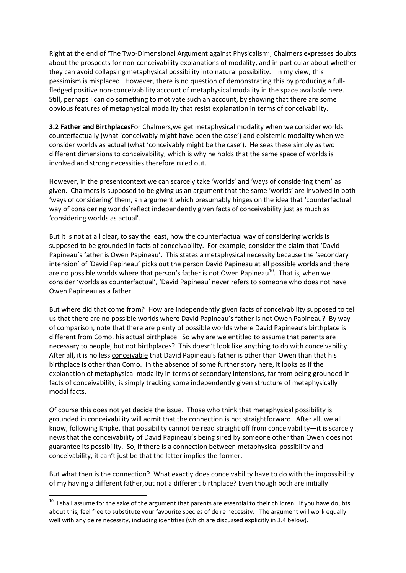Right at the end of 'The Two-Dimensional Argument against Physicalism', Chalmers expresses doubts about the prospects for non-conceivability explanations of modality, and in particular about whether they can avoid collapsing metaphysical possibility into natural possibility. In my view, this pessimism is misplaced. However, there is no question of demonstrating this by producing a fullfledged positive non-conceivability account of metaphysical modality in the space available here. Still, perhaps I can do something to motivate such an account, by showing that there are some obvious features of metaphysical modality that resist explanation in terms of conceivability.

**3.2 Father and Birthplaces**For Chalmers,we get metaphysical modality when we consider worlds counterfactually (what 'conceivably might have been the case') and epistemic modality when we consider worlds as actual (what 'conceivably might be the case'). He sees these simply as two different dimensions to conceivability, which is why he holds that the same space of worlds is involved and strong necessities therefore ruled out.

However, in the presentcontext we can scarcely take 'worlds' and 'ways of considering them' as given. Chalmers is supposed to be giving us an argument that the same 'worlds' are involved in both 'ways of considering' them, an argument which presumably hinges on the idea that 'counterfactual way of considering worlds'reflect independently given facts of conceivability just as much as 'considering worlds as actual'.

But it is not at all clear, to say the least, how the counterfactual way of considering worlds is supposed to be grounded in facts of conceivability. For example, consider the claim that 'David Papineau's father is Owen Papineau'. This states a metaphysical necessity because the 'secondary intension' of 'David Papineau' picks out the person David Papineau at all possible worlds and there are no possible worlds where that person's father is not Owen Papineau<sup>10</sup>. That is, when we consider 'worlds as counterfactual', 'David Papineau' never refers to someone who does not have Owen Papineau as a father.

But where did that come from? How are independently given facts of conceivability supposed to tell us that there are no possible worlds where David Papineau's father is not Owen Papineau? By way of comparison, note that there are plenty of possible worlds where David Papineau's birthplace is different from Como, his actual birthplace. So why are we entitled to assume that parents are necessary to people, but not birthplaces? This doesn't look like anything to do with conceivability. After all, it is no less conceivable that David Papineau's father is other than Owen than that his birthplace is other than Como. In the absence of some further story here, it looks as if the explanation of metaphysical modality in terms of secondary intensions, far from being grounded in facts of conceivability, is simply tracking some independently given structure of metaphysically modal facts.

Of course this does not yet decide the issue. Those who think that metaphysical possibility is grounded in conceivability will admit that the connection is not straightforward. After all, we all know, following Kripke, that possibility cannot be read straight off from conceivability—it is scarcely news that the conceivability of David Papineau's being sired by someone other than Owen does not guarantee its possibility. So, if there is a connection between metaphysical possibility and conceivability, it can't just be that the latter implies the former.

But what then is the connection? What exactly does conceivability have to do with the impossibility of my having a different father,but not a different birthplace? Even though both are initially

 10 I shall assume for the sake of the argument that parents are essential to their children. If you have doubts about this, feel free to substitute your favourite species of de re necessity. The argument will work equally well with any de re necessity, including identities (which are discussed explicitly in 3.4 below).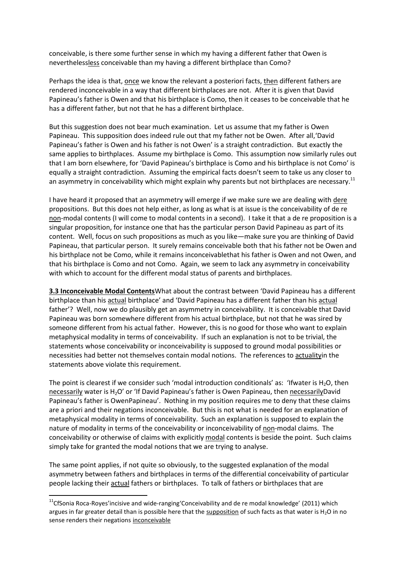conceivable, is there some further sense in which my having a different father that Owen is neverthelessless conceivable than my having a different birthplace than Como?

Perhaps the idea is that, once we know the relevant a posteriori facts, then different fathers are rendered inconceivable in a way that different birthplaces are not. After it is given that David Papineau's father is Owen and that his birthplace is Como, then it ceases to be conceivable that he has a different father, but not that he has a different birthplace.

But this suggestion does not bear much examination. Let us assume that my father is Owen Papineau. This supposition does indeed rule out that my father not be Owen. After all,'David Papineau's father is Owen and his father is not Owen' is a straight contradiction. But exactly the same applies to birthplaces. Assume my birthplace is Como. This assumption now similarly rules out that I am born elsewhere, for 'David Papineau's birthplace is Como and his birthplace is not Como' is equally a straight contradiction. Assuming the empirical facts doesn't seem to take us any closer to an asymmetry in conceivability which might explain why parents but not birthplaces are necessary.<sup>11</sup>

I have heard it proposed that an asymmetry will emerge if we make sure we are dealing with dere propositions. But this does not help either, as long as what is at issue is the conceivability of de re non-modal contents (I will come to modal contents in a second). I take it that a de re proposition is a singular proposition, for instance one that has the particular person David Papineau as part of its content. Well, focus on such propositions as much as you like—make sure you are thinking of David Papineau, that particular person. It surely remains conceivable both that his father not be Owen and his birthplace not be Como, while it remains inconceivablethat his father is Owen and not Owen, and that his birthplace is Como and not Como. Again, we seem to lack any asymmetry in conceivability with which to account for the different modal status of parents and birthplaces.

**3.3 Inconceivable Modal Contents**What about the contrast between 'David Papineau has a different birthplace than his actual birthplace' and 'David Papineau has a different father than his actual father'? Well, now we do plausibly get an asymmetry in conceivability. It is conceivable that David Papineau was born somewhere different from his actual birthplace, but not that he was sired by someone different from his actual father. However, this is no good for those who want to explain metaphysical modality in terms of conceivability. If such an explanation is not to be trivial, the statements whose conceivability or inconceivability is supposed to ground modal possibilities or necessities had better not themselves contain modal notions. The references to actualityin the statements above violate this requirement.

The point is clearest if we consider such 'modal introduction conditionals' as: 'Ifwater is H<sub>2</sub>O, then necessarily water is H<sub>2</sub>O' or 'If David Papineau's father is Owen Papineau, then necessarilyDavid Papineau's father is OwenPapineau'. Nothing in my position requires me to deny that these claims are a priori and their negations inconceivable. But this is not what is needed for an explanation of metaphysical modality in terms of conceivability. Such an explanation is supposed to explain the nature of modality in terms of the conceivability or inconceivability of non-modal claims. The conceivability or otherwise of claims with explicitly modal contents is beside the point. Such claims simply take for granted the modal notions that we are trying to analyse.

The same point applies, if not quite so obviously, to the suggested explanation of the modal asymmetry between fathers and birthplaces in terms of the differential conceivability of particular people lacking their actual fathers or birthplaces. To talk of fathers or birthplaces that are

**.** 

 $11$ CfSonia Roca-Royes'incisive and wide-ranging'Conceivability and de re modal knowledge' (2011) which argues in far greater detail than is possible here that the supposition of such facts as that water is H<sub>2</sub>O in no sense renders their negations inconceivable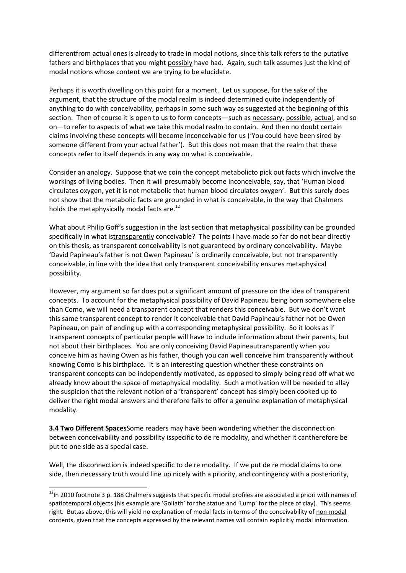differentfrom actual ones is already to trade in modal notions, since this talk refers to the putative fathers and birthplaces that you might possibly have had. Again, such talk assumes just the kind of modal notions whose content we are trying to be elucidate.

Perhaps it is worth dwelling on this point for a moment. Let us suppose, for the sake of the argument, that the structure of the modal realm is indeed determined quite independently of anything to do with conceivability, perhaps in some such way as suggested at the beginning of this section. Then of course it is open to us to form concepts—such as necessary, possible, actual, and so on—to refer to aspects of what we take this modal realm to contain. And then no doubt certain claims involving these concepts will become inconceivable for us ('You could have been sired by someone different from your actual father'). But this does not mean that the realm that these concepts refer to itself depends in any way on what is conceivable.

Consider an analogy. Suppose that we coin the concept metabolicto pick out facts which involve the workings of living bodies. Then it will presumably become inconceivable, say, that 'Human blood circulates oxygen, yet it is not metabolic that human blood circulates oxygen'. But this surely does not show that the metabolic facts are grounded in what is conceivable, in the way that Chalmers holds the metaphysically modal facts are.<sup>12</sup>

What about Philip Goff's suggestion in the last section that metaphysical possibility can be grounded specifically in what istransparently conceivable? The points I have made so far do not bear directly on this thesis, as transparent conceivability is not guaranteed by ordinary conceivability. Maybe 'David Papineau's father is not Owen Papineau' is ordinarily conceivable, but not transparently conceivable, in line with the idea that only transparent conceivability ensures metaphysical possibility.

However, my argument so far does put a significant amount of pressure on the idea of transparent concepts. To account for the metaphysical possibility of David Papineau being born somewhere else than Como, we will need a transparent concept that renders this conceivable. But we don't want this same transparent concept to render it conceivable that David Papineau's father not be Owen Papineau, on pain of ending up with a corresponding metaphysical possibility. So it looks as if transparent concepts of particular people will have to include information about their parents, but not about their birthplaces. You are only conceiving David Papineautransparently when you conceive him as having Owen as his father, though you can well conceive him transparently without knowing Como is his birthplace. It is an interesting question whether these constraints on transparent concepts can be independently motivated, as opposed to simply being read off what we already know about the space of metaphysical modality. Such a motivation will be needed to allay the suspicion that the relevant notion of a 'transparent' concept has simply been cooked up to deliver the right modal answers and therefore fails to offer a genuine explanation of metaphysical modality.

**3.4 Two Different Spaces**Some readers may have been wondering whether the disconnection between conceivability and possibility isspecific to de re modality, and whether it cantherefore be put to one side as a special case.

Well, the disconnection is indeed specific to de re modality. If we put de re modal claims to one side, then necessary truth would line up nicely with a priority, and contingency with a posteriority,

1

 $12$ In 2010 footnote 3 p. 188 Chalmers suggests that specific modal profiles are associated a priori with names of spatiotemporal objects (his example are 'Goliath' for the statue and 'Lump' for the piece of clay). This seems right. But,as above, this will yield no explanation of modal facts in terms of the conceivability of non-modal contents, given that the concepts expressed by the relevant names will contain explicitly modal information.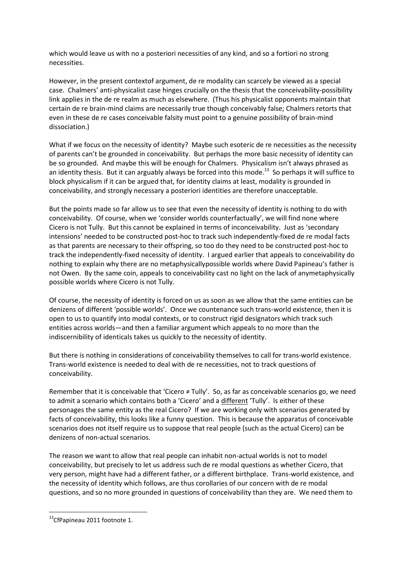which would leave us with no a posteriori necessities of any kind, and so a fortiori no strong necessities.

However, in the present contextof argument, de re modality can scarcely be viewed as a special case. Chalmers' anti-physicalist case hinges crucially on the thesis that the conceivability-possibility link applies in the de re realm as much as elsewhere. (Thus his physicalist opponents maintain that certain de re brain-mind claims are necessarily true though conceivably false; Chalmers retorts that even in these de re cases conceivable falsity must point to a genuine possibility of brain-mind dissociation.)

What if we focus on the necessity of identity? Maybe such esoteric de re necessities as the necessity of parents can't be grounded in conceivability. But perhaps the more basic necessity of identity can be so grounded. And maybe this will be enough for Chalmers. Physicalism isn't always phrased as an identity thesis. But it can arguably always be forced into this mode.<sup>13</sup> So perhaps it will suffice to block physicalism if it can be argued that, for identity claims at least, modality is grounded in conceivability, and strongly necessary a posteriori identities are therefore unacceptable.

But the points made so far allow us to see that even the necessity of identity is nothing to do with conceivability. Of course, when we 'consider worlds counterfactually', we will find none where Cicero is not Tully. But this cannot be explained in terms of inconceivability. Just as 'secondary intensions' needed to be constructed post-hoc to track such independently-fixed de re modal facts as that parents are necessary to their offspring, so too do they need to be constructed post-hoc to track the independently-fixed necessity of identity. I argued earlier that appeals to conceivability do nothing to explain why there are no metaphysicallypossible worlds where David Papineau's father is not Owen. By the same coin, appeals to conceivability cast no light on the lack of anymetaphysically possible worlds where Cicero is not Tully.

Of course, the necessity of identity is forced on us as soon as we allow that the same entities can be denizens of different 'possible worlds'. Once we countenance such trans-world existence, then it is open to us to quantify into modal contexts, or to construct rigid designators which track such entities across worlds—and then a familiar argument which appeals to no more than the indiscernibility of identicals takes us quickly to the necessity of identity.

But there is nothing in considerations of conceivability themselves to call for trans-world existence. Trans-world existence is needed to deal with de re necessities, not to track questions of conceivability.

Remember that it is conceivable that 'Cicero  $\neq$  Tully'. So, as far as conceivable scenarios go, we need to admit a scenario which contains both a 'Cicero' and a different 'Tully'. Is either of these personages the same entity as the real Cicero? If we are working only with scenarios generated by facts of conceivability, this looks like a funny question. This is because the apparatus of conceivable scenarios does not itself require us to suppose that real people (such as the actual Cicero) can be denizens of non-actual scenarios.

The reason we want to allow that real people can inhabit non-actual worlds is not to model conceivability, but precisely to let us address such de re modal questions as whether Cicero, that very person, might have had a different father, or a different birthplace. Trans-world existence, and the necessity of identity which follows, are thus corollaries of our concern with de re modal questions, and so no more grounded in questions of conceivability than they are. We need them to

**.** 

<sup>&</sup>lt;sup>13</sup>CfPapineau 2011 footnote 1.